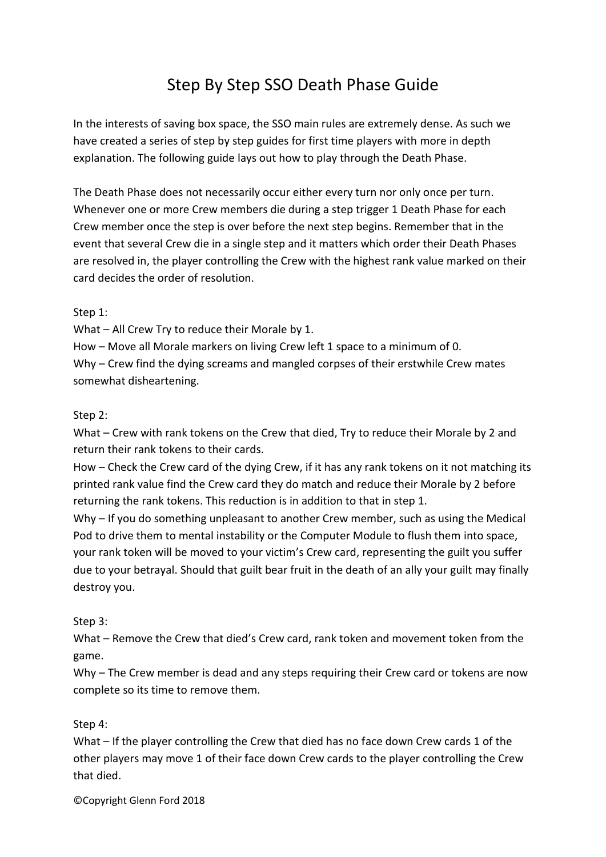# Step By Step SSO Death Phase Guide

In the interests of saving box space, the SSO main rules are extremely dense. As such we have created a series of step by step guides for first time players with more in depth explanation. The following guide lays out how to play through the Death Phase.

The Death Phase does not necessarily occur either every turn nor only once per turn. Whenever one or more Crew members die during a step trigger 1 Death Phase for each Crew member once the step is over before the next step begins. Remember that in the event that several Crew die in a single step and it matters which order their Death Phases are resolved in, the player controlling the Crew with the highest rank value marked on their card decides the order of resolution.

# Step 1:

What – All Crew Try to reduce their Morale by 1.

How – Move all Morale markers on living Crew left 1 space to a minimum of 0. Why – Crew find the dying screams and mangled corpses of their erstwhile Crew mates somewhat disheartening.

### Step 2:

What – Crew with rank tokens on the Crew that died, Try to reduce their Morale by 2 and return their rank tokens to their cards.

How – Check the Crew card of the dying Crew, if it has any rank tokens on it not matching its printed rank value find the Crew card they do match and reduce their Morale by 2 before returning the rank tokens. This reduction is in addition to that in step 1.

Why – If you do something unpleasant to another Crew member, such as using the Medical Pod to drive them to mental instability or the Computer Module to flush them into space, your rank token will be moved to your victim's Crew card, representing the guilt you suffer due to your betrayal. Should that guilt bear fruit in the death of an ally your guilt may finally destroy you.

# Step 3:

What – Remove the Crew that died's Crew card, rank token and movement token from the game.

Why – The Crew member is dead and any steps requiring their Crew card or tokens are now complete so its time to remove them.

Step 4:

What – If the player controlling the Crew that died has no face down Crew cards 1 of the other players may move 1 of their face down Crew cards to the player controlling the Crew that died.

©Copyright Glenn Ford 2018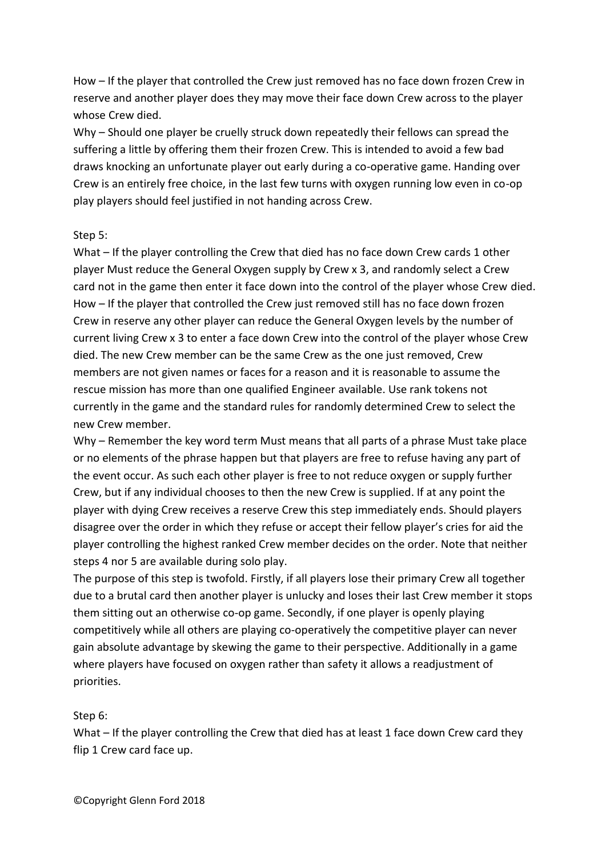How – If the player that controlled the Crew just removed has no face down frozen Crew in reserve and another player does they may move their face down Crew across to the player whose Crew died.

Why – Should one player be cruelly struck down repeatedly their fellows can spread the suffering a little by offering them their frozen Crew. This is intended to avoid a few bad draws knocking an unfortunate player out early during a co-operative game. Handing over Crew is an entirely free choice, in the last few turns with oxygen running low even in co-op play players should feel justified in not handing across Crew.

### Step 5:

What – If the player controlling the Crew that died has no face down Crew cards 1 other player Must reduce the General Oxygen supply by Crew x 3, and randomly select a Crew card not in the game then enter it face down into the control of the player whose Crew died. How – If the player that controlled the Crew just removed still has no face down frozen Crew in reserve any other player can reduce the General Oxygen levels by the number of current living Crew x 3 to enter a face down Crew into the control of the player whose Crew died. The new Crew member can be the same Crew as the one just removed, Crew members are not given names or faces for a reason and it is reasonable to assume the rescue mission has more than one qualified Engineer available. Use rank tokens not currently in the game and the standard rules for randomly determined Crew to select the new Crew member.

Why – Remember the key word term Must means that all parts of a phrase Must take place or no elements of the phrase happen but that players are free to refuse having any part of the event occur. As such each other player is free to not reduce oxygen or supply further Crew, but if any individual chooses to then the new Crew is supplied. If at any point the player with dying Crew receives a reserve Crew this step immediately ends. Should players disagree over the order in which they refuse or accept their fellow player's cries for aid the player controlling the highest ranked Crew member decides on the order. Note that neither steps 4 nor 5 are available during solo play.

The purpose of this step is twofold. Firstly, if all players lose their primary Crew all together due to a brutal card then another player is unlucky and loses their last Crew member it stops them sitting out an otherwise co-op game. Secondly, if one player is openly playing competitively while all others are playing co-operatively the competitive player can never gain absolute advantage by skewing the game to their perspective. Additionally in a game where players have focused on oxygen rather than safety it allows a readjustment of priorities.

# Step 6:

What – If the player controlling the Crew that died has at least 1 face down Crew card they flip 1 Crew card face up.